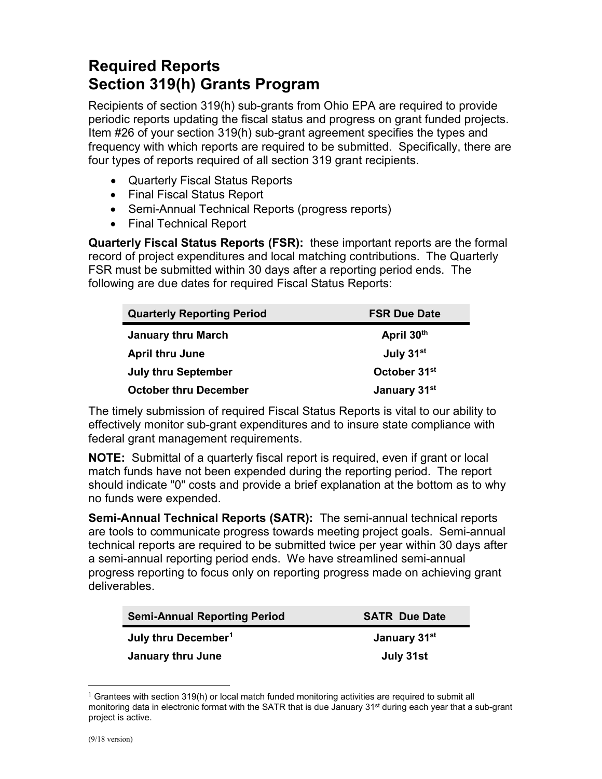## **Required Reports Section 319(h) Grants Program**

Recipients of section 319(h) sub-grants from Ohio EPA are required to provide periodic reports updating the fiscal status and progress on grant funded projects. Item #26 of your section 319(h) sub-grant agreement specifies the types and frequency with which reports are required to be submitted. Specifically, there are four types of reports required of all section 319 grant recipients.

- Quarterly Fiscal Status Reports
- Final Fiscal Status Report
- Semi-Annual Technical Reports (progress reports)
- Final Technical Report

**Quarterly Fiscal Status Reports (FSR):** these important reports are the formal record of project expenditures and local matching contributions. The Quarterly FSR must be submitted within 30 days after a reporting period ends. The following are due dates for required Fiscal Status Reports:

| <b>Quarterly Reporting Period</b> | <b>FSR Due Date</b>      |
|-----------------------------------|--------------------------|
| <b>January thru March</b>         | April 30th               |
| <b>April thru June</b>            | July 31 <sup>st</sup>    |
| <b>July thru September</b>        | October 31 <sup>st</sup> |
| <b>October thru December</b>      | January 31 <sup>st</sup> |

The timely submission of required Fiscal Status Reports is vital to our ability to effectively monitor sub-grant expenditures and to insure state compliance with federal grant management requirements.

**NOTE:** Submittal of a quarterly fiscal report is required, even if grant or local match funds have not been expended during the reporting period. The report should indicate "0" costs and provide a brief explanation at the bottom as to why no funds were expended.

**Semi-Annual Technical Reports (SATR):** The semi-annual technical reports are tools to communicate progress towards meeting project goals. Semi-annual technical reports are required to be submitted twice per year within 30 days after a semi-annual reporting period ends. We have streamlined semi-annual progress reporting to focus only on reporting progress made on achieving grant deliverables.

| <b>Semi-Annual Reporting Period</b> | <b>SATR Due Date</b>     |
|-------------------------------------|--------------------------|
| July thru December <sup>1</sup>     | January 31 <sup>st</sup> |
| January thru June                   | July 31st                |

<span id="page-0-0"></span> $<sup>1</sup>$  Grantees with section 319(h) or local match funded monitoring activities are required to submit all</sup> monitoring data in electronic format with the SATR that is due January 31<sup>st</sup> during each year that a sub-grant project is active.